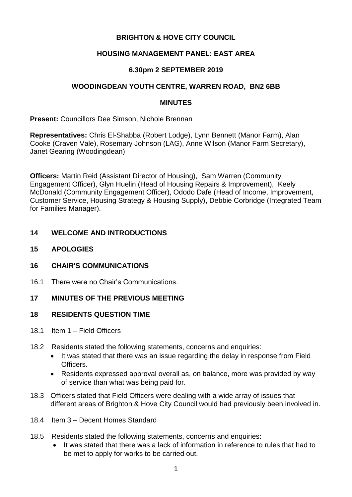# **BRIGHTON & HOVE CITY COUNCIL**

# **HOUSING MANAGEMENT PANEL: EAST AREA**

## **6.30pm 2 SEPTEMBER 2019**

#### **WOODINGDEAN YOUTH CENTRE, WARREN ROAD, BN2 6BB**

#### **MINUTES**

**Present:** Councillors Dee Simson, Nichole Brennan

**Representatives:** Chris El-Shabba (Robert Lodge), Lynn Bennett (Manor Farm), Alan Cooke (Craven Vale), Rosemary Johnson (LAG), Anne Wilson (Manor Farm Secretary), Janet Gearing (Woodingdean)

**Officers:** Martin Reid (Assistant Director of Housing), Sam Warren (Community Engagement Officer), Glyn Huelin (Head of Housing Repairs & Improvement), Keely McDonald (Community Engagement Officer), Ododo Dafe (Head of Income, Improvement, Customer Service, Housing Strategy & Housing Supply), Debbie Corbridge (Integrated Team for Families Manager).

## **14 WELCOME AND INTRODUCTIONS**

- **15 APOLOGIES**
- **16 CHAIR'S COMMUNICATIONS**
- 16.1 There were no Chair's Communications.

## **17 MINUTES OF THE PREVIOUS MEETING**

#### **18 RESIDENTS QUESTION TIME**

- 18.1 Item 1 Field Officers
- 18.2 Residents stated the following statements, concerns and enquiries:
	- It was stated that there was an issue regarding the delay in response from Field Officers.
	- Residents expressed approval overall as, on balance, more was provided by way of service than what was being paid for.
- 18.3 Officers stated that Field Officers were dealing with a wide array of issues that different areas of Brighton & Hove City Council would had previously been involved in.
- 18.4 Item 3 Decent Homes Standard
- 18.5 Residents stated the following statements, concerns and enquiries:
	- It was stated that there was a lack of information in reference to rules that had to be met to apply for works to be carried out.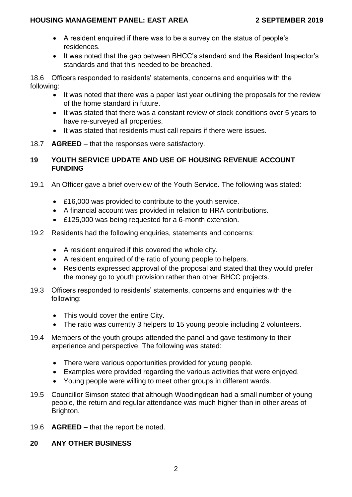- A resident enquired if there was to be a survey on the status of people's residences.
- It was noted that the gap between BHCC's standard and the Resident Inspector's standards and that this needed to be breached.

18.6 Officers responded to residents' statements, concerns and enquiries with the following:

- It was noted that there was a paper last year outlining the proposals for the review of the home standard in future.
- It was stated that there was a constant review of stock conditions over 5 years to have re-surveyed all properties.
- It was stated that residents must call repairs if there were issues.
- 18.7 **AGREED** that the responses were satisfactory.

# **19 YOUTH SERVICE UPDATE AND USE OF HOUSING REVENUE ACCOUNT FUNDING**

- 19.1 An Officer gave a brief overview of the Youth Service. The following was stated:
	- £16,000 was provided to contribute to the youth service.
	- A financial account was provided in relation to HRA contributions.
	- £125,000 was being requested for a 6-month extension.
- 19.2 Residents had the following enquiries, statements and concerns:
	- A resident enquired if this covered the whole city.
	- A resident enquired of the ratio of young people to helpers.
	- Residents expressed approval of the proposal and stated that they would prefer the money go to youth provision rather than other BHCC projects.
- 19.3 Officers responded to residents' statements, concerns and enquiries with the following:
	- This would cover the entire City.
	- The ratio was currently 3 helpers to 15 young people including 2 volunteers.
- 19.4 Members of the youth groups attended the panel and gave testimony to their experience and perspective. The following was stated:
	- There were various opportunities provided for young people.
	- Examples were provided regarding the various activities that were enjoyed.
	- Young people were willing to meet other groups in different wards.
- 19.5 Councillor Simson stated that although Woodingdean had a small number of young people, the return and regular attendance was much higher than in other areas of Brighton.
- 19.6 **AGREED –** that the report be noted.
- **20 ANY OTHER BUSINESS**